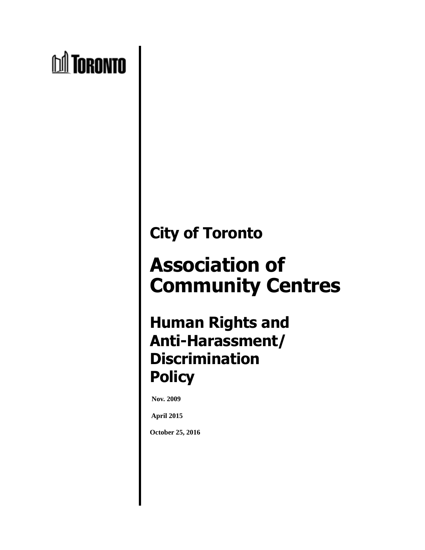# **nd** Toronto

## **City of Toronto**

# **Association of Community Centres**

### **Human Rights and Anti-Harassment/ Discrimination Policy**

**Nov. 2009** 

**April 2015**

**October 25, 2016**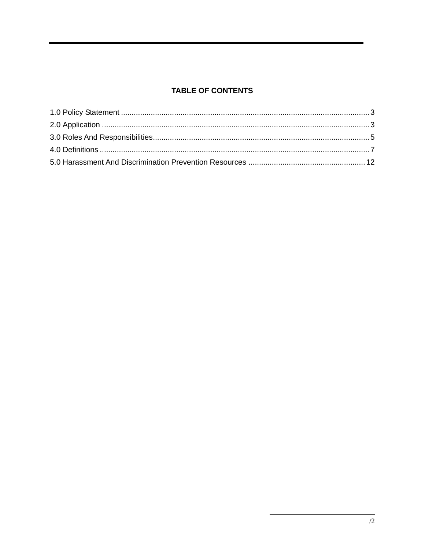#### **TABLE OF CONTENTS**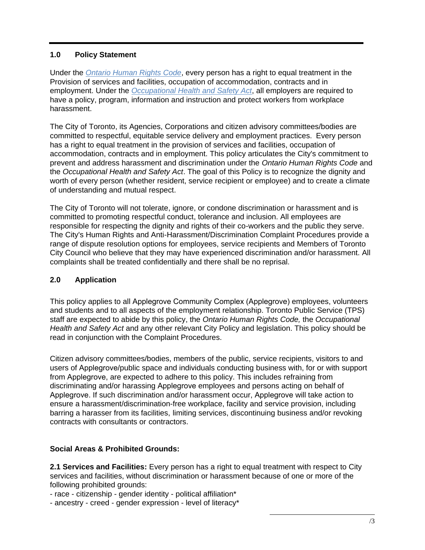#### **1.0 Policy Statement**

Under the *Ontario Human Rights Code*, every person has a right to equal treatment in the Provision of services and facilities, occupation of accommodation, contracts and in employment. Under the *Occupational Health and Safety Act*, all employers are required to have a policy, program, information and instruction and protect workers from workplace harassment.

The City of Toronto, its Agencies, Corporations and citizen advisory committees/bodies are committed to respectful, equitable service delivery and employment practices. Every person has a right to equal treatment in the provision of services and facilities, occupation of accommodation, contracts and in employment. This policy articulates the City's commitment to prevent and address harassment and discrimination under the *Ontario Human Rights Code* and the *Occupational Health and Safety Act*. The goal of this Policy is to recognize the dignity and worth of every person (whether resident, service recipient or employee) and to create a climate of understanding and mutual respect.

The City of Toronto will not tolerate, ignore, or condone discrimination or harassment and is committed to promoting respectful conduct, tolerance and inclusion. All employees are responsible for respecting the dignity and rights of their co-workers and the public they serve. The City's Human Rights and Anti-Harassment/Discrimination Complaint Procedures provide a range of dispute resolution options for employees, service recipients and Members of Toronto City Council who believe that they may have experienced discrimination and/or harassment. All complaints shall be treated confidentially and there shall be no reprisal.

#### **2.0 Application**

This policy applies to all Applegrove Community Complex (Applegrove) employees, volunteers and students and to all aspects of the employment relationship. Toronto Public Service (TPS) staff are expected to abide by this policy, the *Ontario Human Rights Code,* the *Occupational Health and Safety Act* and any other relevant City Policy and legislation. This policy should be read in conjunction with the Complaint Procedures.

Citizen advisory committees/bodies, members of the public, service recipients, visitors to and users of Applegrove/public space and individuals conducting business with, for or with support from Applegrove, are expected to adhere to this policy. This includes refraining from discriminating and/or harassing Applegrove employees and persons acting on behalf of Applegrove. If such discrimination and/or harassment occur, Applegrove will take action to ensure a harassment/discrimination-free workplace, facility and service provision, including barring a harasser from its facilities, limiting services, discontinuing business and/or revoking contracts with consultants or contractors.

#### **Social Areas & Prohibited Grounds:**

**2.1 Services and Facilities:** Every person has a right to equal treatment with respect to City services and facilities, without discrimination or harassment because of one or more of the following prohibited grounds:

- race - citizenship - gender identity - political affiliation\*

- ancestry - creed - gender expression - level of literacy\*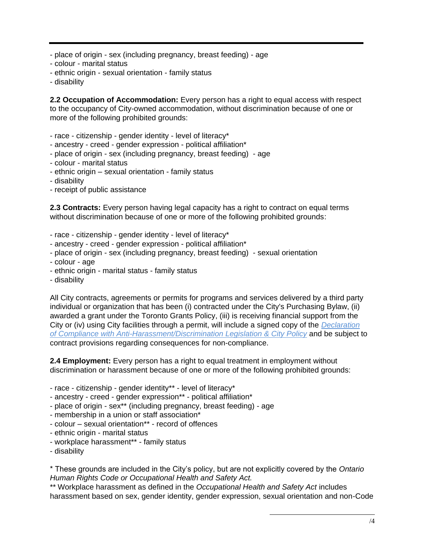- place of origin sex (including pregnancy, breast feeding) age
- colour marital status
- ethnic origin sexual orientation family status
- disability

**2.2 Occupation of Accommodation:** Every person has a right to equal access with respect to the occupancy of City-owned accommodation, without discrimination because of one or more of the following prohibited grounds:

- race citizenship gender identity level of literacy\*
- ancestry creed gender expression political affiliation\*
- place of origin sex (including pregnancy, breast feeding) age
- colour marital status
- ethnic origin sexual orientation family status
- disability
- receipt of public assistance

**2.3 Contracts:** Every person having legal capacity has a right to contract on equal terms without discrimination because of one or more of the following prohibited grounds:

- race citizenship gender identity level of literacy\*
- ancestry creed gender expression political affiliation\*
- place of origin sex (including pregnancy, breast feeding) sexual orientation
- colour age
- ethnic origin marital status family status
- disability

All City contracts, agreements or permits for programs and services delivered by a third party individual or organization that has been (i) contracted under the City's Purchasing Bylaw, (ii) awarded a grant under the Toronto Grants Policy, (iii) is receiving financial support from the City or (iv) using City facilities through a permit, will include a signed copy of the *Declaration of Compliance with Anti-Harassment/Discrimination Legislation & City Policy* and be subject to contract provisions regarding consequences for non-compliance.

**2.4 Employment:** Every person has a right to equal treatment in employment without discrimination or harassment because of one or more of the following prohibited grounds:

- race citizenship gender identity\*\* level of literacy\*
- ancestry creed gender expression\*\* political affiliation\*
- place of origin sex\*\* (including pregnancy, breast feeding) age
- membership in a union or staff association\*
- colour sexual orientation\*\* record of offences
- ethnic origin marital status
- workplace harassment\*\* family status
- disability

\* These grounds are included in the City's policy, but are not explicitly covered by the *Ontario Human Rights Code or Occupational Health and Safety Act.*

\*\* Workplace harassment as defined in the *Occupational Health and Safety Act* includes harassment based on sex, gender identity, gender expression, sexual orientation and non-Code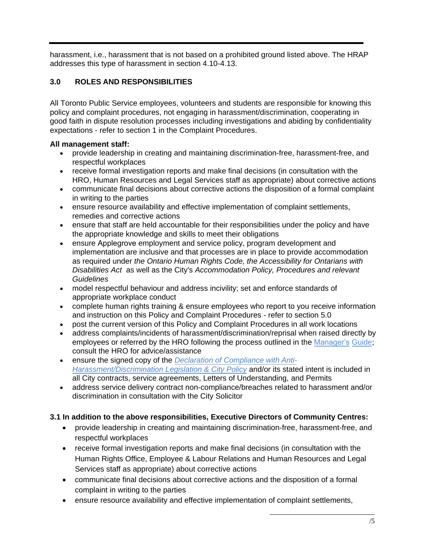harassment, i.e., harassment that is not based on a prohibited ground listed above. The HRAP addresses this type of harassment in section 4.10-4.13.

#### **3.0 ROLES AND RESPONSIBILITIES**

All Toronto Public Service employees, volunteers and students are responsible for knowing this policy and complaint procedures, not engaging in harassment/discrimination, cooperating in good faith in dispute resolution processes including investigations and abiding by confidentiality expectations - refer to section 1 in the Complaint Procedures.

#### **All management staff:**

- provide leadership in creating and maintaining discrimination-free, harassment-free, and respectful workplaces
- receive formal investigation reports and make final decisions (in consultation with the HRO, Human Resources and Legal Services staff as appropriate) about corrective actions
- communicate final decisions about corrective actions the disposition of a formal complaint in writing to the parties
- ensure resource availability and effective implementation of complaint settlements, remedies and corrective actions
- ensure that staff are held accountable for their responsibilities under the policy and have the appropriate knowledge and skills to meet their obligations
- ensure Applegrove employment and service policy, program development and implementation are inclusive and that processes are in place to provide accommodation as required under *the Ontario Human Rights Code, the Accessibility for Ontarians with Disabilities Act* as well as the City's *Accommodation Policy, Procedures and relevant Guidelines*
- model respectful behaviour and address incivility; set and enforce standards of appropriate workplace conduct
- complete human rights training & ensure employees who report to you receive information and instruction on this Policy and Complaint Procedures - refer to section 5.0
- post the current version of this Policy and Complaint Procedures in all work locations
- address complaints/incidents of harassment/discrimination/reprisal when raised directly by employees or referred by the HRO following the process outlined in the Manager's Guide; consult the HRO for advice/assistance
- ensure the signed copy of the *Declaration of Compliance with Anti-Harassment/Discrimination Legislation & City Policy* and/or its stated intent is included in all City contracts, service agreements, Letters of Understanding, and Permits
- address service delivery contract non-compliance/breaches related to harassment and/or discrimination in consultation with the City Solicitor

#### **3.1 In addition to the above responsibilities, Executive Directors of Community Centres:**

- provide leadership in creating and maintaining discrimination-free, harassment-free, and respectful workplaces
- receive formal investigation reports and make final decisions (in consultation with the Human Rights Office, Employee & Labour Relations and Human Resources and Legal Services staff as appropriate) about corrective actions
- communicate final decisions about corrective actions and the disposition of a formal complaint in writing to the parties
- ensure resource availability and effective implementation of complaint settlements,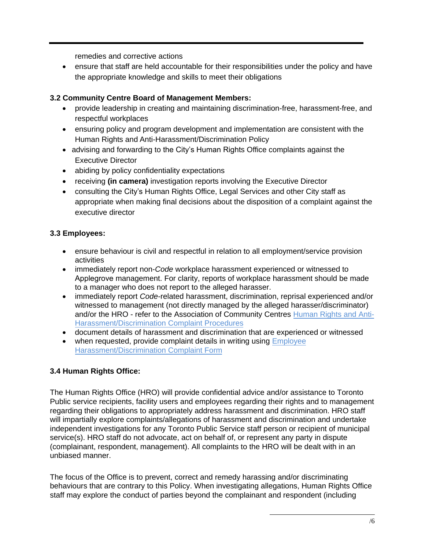remedies and corrective actions

• ensure that staff are held accountable for their responsibilities under the policy and have the appropriate knowledge and skills to meet their obligations

#### **3.2 Community Centre Board of Management Members:**

- provide leadership in creating and maintaining discrimination-free, harassment-free, and respectful workplaces
- ensuring policy and program development and implementation are consistent with the Human Rights and Anti-Harassment/Discrimination Policy
- advising and forwarding to the City's Human Rights Office complaints against the Executive Director
- abiding by policy confidentiality expectations
- receiving **(in camera)** investigation reports involving the Executive Director
- consulting the City's Human Rights Office, Legal Services and other City staff as appropriate when making final decisions about the disposition of a complaint against the executive director

#### **3.3 Employees:**

- ensure behaviour is civil and respectful in relation to all employment/service provision activities
- immediately report non-*Code* workplace harassment experienced or witnessed to Applegrove management. For clarity, reports of workplace harassment should be made to a manager who does not report to the alleged harasser.
- immediately report *Code*-related harassment, discrimination, reprisal experienced and/or witnessed to management (not directly managed by the alleged harasser/discriminator) and/or the HRO - refer to the Association of Community Centres Human Rights and Anti-Harassment/Discrimination Complaint Procedures
- document details of harassment and discrimination that are experienced or witnessed
- when requested, provide complaint details in writing using Employee Harassment/Discrimination Complaint Form

#### **3.4 Human Rights Office:**

The Human Rights Office (HRO) will provide confidential advice and/or assistance to Toronto Public service recipients, facility users and employees regarding their rights and to management regarding their obligations to appropriately address harassment and discrimination. HRO staff will impartially explore complaints/allegations of harassment and discrimination and undertake independent investigations for any Toronto Public Service staff person or recipient of municipal service(s). HRO staff do not advocate, act on behalf of, or represent any party in dispute (complainant, respondent, management). All complaints to the HRO will be dealt with in an unbiased manner.

The focus of the Office is to prevent, correct and remedy harassing and/or discriminating behaviours that are contrary to this Policy. When investigating allegations, Human Rights Office staff may explore the conduct of parties beyond the complainant and respondent (including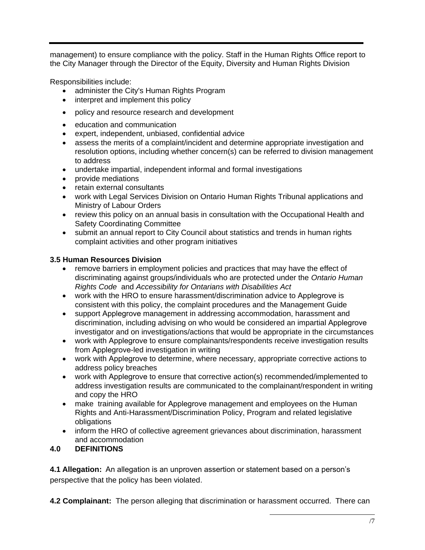management) to ensure compliance with the policy. Staff in the Human Rights Office report to the City Manager through the Director of the Equity, Diversity and Human Rights Division

Responsibilities include:

- administer the City's Human Rights Program
- interpret and implement this policy
- policy and resource research and development
- education and communication
- expert, independent, unbiased, confidential advice
- assess the merits of a complaint/incident and determine appropriate investigation and resolution options, including whether concern(s) can be referred to division management to address
- undertake impartial, independent informal and formal investigations
- provide mediations
- retain external consultants
- work with Legal Services Division on Ontario Human Rights Tribunal applications and Ministry of Labour Orders
- review this policy on an annual basis in consultation with the Occupational Health and Safety Coordinating Committee
- submit an annual report to City Council about statistics and trends in human rights complaint activities and other program initiatives

#### **3.5 Human Resources Division**

- remove barriers in employment policies and practices that may have the effect of discriminating against groups/individuals who are protected under the *Ontario Human Rights Code* and *Accessibility for Ontarians with Disabilities Act*
- work with the HRO to ensure harassment/discrimination advice to Applegrove is consistent with this policy, the complaint procedures and the Management Guide
- support Applegrove management in addressing accommodation, harassment and discrimination, including advising on who would be considered an impartial Applegrove investigator and on investigations/actions that would be appropriate in the circumstances
- work with Applegrove to ensure complainants/respondents receive investigation results from Applegrove-led investigation in writing
- work with Applegrove to determine, where necessary, appropriate corrective actions to address policy breaches
- work with Applegrove to ensure that corrective action(s) recommended/implemented to address investigation results are communicated to the complainant/respondent in writing and copy the HRO
- make training available for Applegrove management and employees on the Human Rights and Anti-Harassment/Discrimination Policy, Program and related legislative obligations
- inform the HRO of collective agreement grievances about discrimination, harassment and accommodation

#### **4.0 DEFINITIONS**

**4.1 Allegation:** An allegation is an unproven assertion or statement based on a person's perspective that the policy has been violated.

**4.2 Complainant:** The person alleging that discrimination or harassment occurred. There can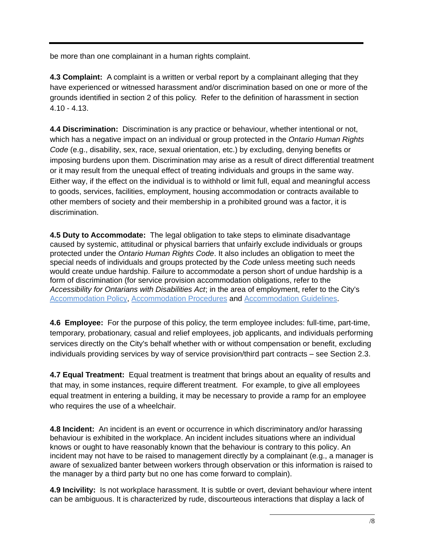be more than one complainant in a human rights complaint.

**4.3 Complaint:** A complaint is a written or verbal report by a complainant alleging that they have experienced or witnessed harassment and/or discrimination based on one or more of the grounds identified in section 2 of this policy. Refer to the definition of harassment in section 4.10 - 4.13.

**4.4 Discrimination:** Discrimination is any practice or behaviour, whether intentional or not, which has a negative impact on an individual or group protected in the *Ontario Human Rights Code* (e.g., disability, sex, race, sexual orientation, etc.) by excluding, denying benefits or imposing burdens upon them. Discrimination may arise as a result of direct differential treatment or it may result from the unequal effect of treating individuals and groups in the same way. Either way, if the effect on the individual is to withhold or limit full, equal and meaningful access to goods, services, facilities, employment, housing accommodation or contracts available to other members of society and their membership in a prohibited ground was a factor, it is discrimination.

**4.5 Duty to Accommodate:** The legal obligation to take steps to eliminate disadvantage caused by systemic, attitudinal or physical barriers that unfairly exclude individuals or groups protected under the *Ontario Human Rights Code*. It also includes an obligation to meet the special needs of individuals and groups protected by the *Code* unless meeting such needs would create undue hardship. Failure to accommodate a person short of undue hardship is a form of discrimination (for service provision accommodation obligations, refer to the *Accessibility for Ontarians with Disabilities Act*; in the area of employment, refer to the City's [Accommodation Policy,](http://wx.toronto.ca/intra/hr/policies.nsf/9fff29b7237299b385256729004b844b/e72bd53d0fb2594385257d430052d031?OpenDocument) [Accommodation Procedures](http://wx.toronto.ca/intra/hr/policies.nsf/0/79359124548740F185257DA400735BB9?opendocument) and [Accommodation Guidelines](http://www1.toronto.ca/wps/portal/contentonly?vgnextoid=1d7ae03bb8d1e310VgnVCM10000071d60f89RCRD).

**4.6 Employee:** For the purpose of this policy, the term employee includes: full-time, part-time, temporary, probationary, casual and relief employees, job applicants, and individuals performing services directly on the City's behalf whether with or without compensation or benefit, excluding individuals providing services by way of service provision/third part contracts – see Section 2.3.

**4.7 Equal Treatment:** Equal treatment is treatment that brings about an equality of results and that may, in some instances, require different treatment. For example, to give all employees equal treatment in entering a building, it may be necessary to provide a ramp for an employee who requires the use of a wheelchair.

**4.8 Incident:** An incident is an event or occurrence in which discriminatory and/or harassing behaviour is exhibited in the workplace. An incident includes situations where an individual knows or ought to have reasonably known that the behaviour is contrary to this policy. An incident may not have to be raised to management directly by a complainant (e.g., a manager is aware of sexualized banter between workers through observation or this information is raised to the manager by a third party but no one has come forward to complain).

**4.9 Incivility:** Is not workplace harassment. It is subtle or overt, deviant behaviour where intent can be ambiguous. It is characterized by rude, discourteous interactions that display a lack of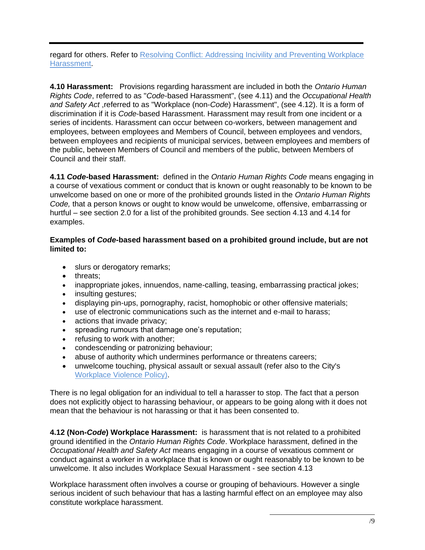regard for others. Refer to Resolving Conflict: Addressing Incivility and Preventing Workplace [Harassment.](http://www1.toronto.ca/City%20Of%20Toronto/Equity,%20Diversity%20and%20Human%20Rights/Divisional%20Profile/PDFs/Resolving%20Conflict.pdf)

**4.10 Harassment:** Provisions regarding harassment are included in both the *Ontario Human Rights Code*, referred to as "*Code*-based Harassment", (see 4.11) and the *Occupational Health and Safety Act* ,referred to as "Workplace (non-*Code*) Harassment", (see 4.12). It is a form of discrimination if it is *Code*-based Harassment. Harassment may result from one incident or a series of incidents. Harassment can occur between co-workers, between management and employees, between employees and Members of Council, between employees and vendors, between employees and recipients of municipal services, between employees and members of the public, between Members of Council and members of the public, between Members of Council and their staff.

**4.11** *Code***-based Harassment:** defined in the *Ontario Human Rights Code* means engaging in a course of vexatious comment or conduct that is known or ought reasonably to be known to be unwelcome based on one or more of the prohibited grounds listed in the *Ontario Human Rights Code,* that a person knows or ought to know would be unwelcome, offensive, embarrassing or hurtful – see section 2.0 for a list of the prohibited grounds. See section 4.13 and 4.14 for examples.

#### **Examples of** *Code***-based harassment based on a prohibited ground include, but are not limited to:**

- slurs or derogatory remarks;
- threats;
- inappropriate jokes, innuendos, name-calling, teasing, embarrassing practical jokes;
- insulting gestures;
- displaying pin-ups, pornography, racist, homophobic or other offensive materials;
- use of electronic communications such as the internet and e-mail to harass;
- actions that invade privacy;
- spreading rumours that damage one's reputation;
- refusing to work with another;
- condescending or patronizing behaviour;
- abuse of authority which undermines performance or threatens careers;
- unwelcome touching, physical assault or sexual assault (refer also to the City's [Workplace Violence Policy\).](http://wx.toronto.ca/intra/hr/policies.nsf/9fff29b7237299b385256729004b844b/fd9f0a63303b69b485257b1700577c59?OpenDocument)

There is no legal obligation for an individual to tell a harasser to stop. The fact that a person does not explicitly object to harassing behaviour, or appears to be going along with it does not mean that the behaviour is not harassing or that it has been consented to.

**4.12 (Non-***Code***) Workplace Harassment:** is harassment that is not related to a prohibited ground identified in the *Ontario Human Rights Code*. Workplace harassment, defined in the *Occupational Health and Safety Act* means engaging in a course of vexatious comment or conduct against a worker in a workplace that is known or ought reasonably to be known to be unwelcome. It also includes Workplace Sexual Harassment - see section 4.13

Workplace harassment often involves a course or grouping of behaviours. However a single serious incident of such behaviour that has a lasting harmful effect on an employee may also constitute workplace harassment.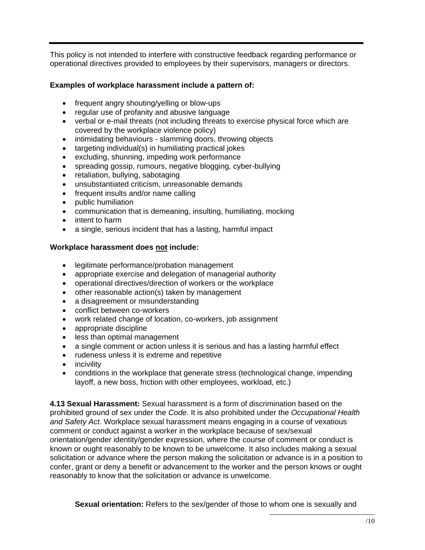This policy is not intended to interfere with constructive feedback regarding performance or operational directives provided to employees by their supervisors, managers or directors.

#### **Examples of workplace harassment include a pattern of:**

- frequent angry shouting/yelling or blow-ups
- regular use of profanity and abusive language
- verbal or e-mail threats (not including threats to exercise physical force which are covered by the workplace violence policy)
- intimidating behaviours slamming doors, throwing objects
- targeting individual(s) in humiliating practical jokes
- excluding, shunning, impeding work performance
- spreading gossip, rumours, negative blogging, cyber-bullying
- retaliation, bullying, sabotaging
- unsubstantiated criticism, unreasonable demands
- frequent insults and/or name calling
- public humiliation
- communication that is demeaning, insulting, humiliating, mocking
- intent to harm
- a single, serious incident that has a lasting, harmful impact

#### **Workplace harassment does not include:**

- legitimate performance/probation management
- appropriate exercise and delegation of managerial authority
- operational directives/direction of workers or the workplace
- other reasonable action(s) taken by management
- a disagreement or misunderstanding
- conflict between co-workers
- work related change of location, co-workers, job assignment
- appropriate discipline
- less than optimal management
- a single comment or action unless it is serious and has a lasting harmful effect
- rudeness unless it is extreme and repetitive
- incivility
- conditions in the workplace that generate stress (technological change, impending layoff, a new boss, friction with other employees, workload, etc.)

**4.13 Sexual Harassment:** Sexual harassment is a form of discrimination based on the prohibited ground of sex under the *Code*. It is also prohibited under the *Occupational Health and Safety Act*. Workplace sexual harassment means engaging in a course of vexatious comment or conduct against a worker in the workplace because of sex/sexual orientation/gender identity/gender expression, where the course of comment or conduct is known or ought reasonably to be known to be unwelcome. It also includes making a sexual solicitation or advance where the person making the solicitation or advance is in a position to confer, grant or deny a benefit or advancement to the worker and the person knows or ought reasonably to know that the solicitation or advance is unwelcome.

**Sexual orientation:** Refers to the sex/gender of those to whom one is sexually and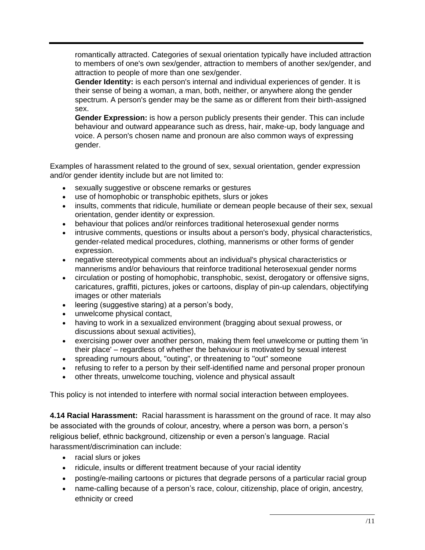romantically attracted. Categories of sexual orientation typically have included attraction to members of one's own sex/gender, attraction to members of another sex/gender, and attraction to people of more than one sex/gender.

**Gender Identity:** is each person's internal and individual experiences of gender. It is their sense of being a woman, a man, both, neither, or anywhere along the gender spectrum. A person's gender may be the same as or different from their birth-assigned sex.

**Gender Expression:** is how a person publicly presents their gender. This can include behaviour and outward appearance such as dress, hair, make-up, body language and voice. A person's chosen name and pronoun are also common ways of expressing gender.

Examples of harassment related to the ground of sex, sexual orientation, gender expression and/or gender identity include but are not limited to:

- sexually suggestive or obscene remarks or gestures
- use of homophobic or transphobic epithets, slurs or jokes
- insults, comments that ridicule, humiliate or demean people because of their sex, sexual orientation, gender identity or expression.
- behaviour that polices and/or reinforces traditional heterosexual gender norms
- intrusive comments, questions or insults about a person's body, physical characteristics, gender-related medical procedures, clothing, mannerisms or other forms of gender expression.
- negative stereotypical comments about an individual's physical characteristics or mannerisms and/or behaviours that reinforce traditional heterosexual gender norms
- circulation or posting of homophobic, transphobic, sexist, derogatory or offensive signs, caricatures, graffiti, pictures, jokes or cartoons, display of pin-up calendars, objectifying images or other materials
- leering (suggestive staring) at a person's body,
- unwelcome physical contact,
- having to work in a sexualized environment (bragging about sexual prowess, or discussions about sexual activities),
- exercising power over another person, making them feel unwelcome or putting them 'in their place' – regardless of whether the behaviour is motivated by sexual interest
- spreading rumours about, "outing", or threatening to "out" someone
- refusing to refer to a person by their self-identified name and personal proper pronoun
- other threats, unwelcome touching, violence and physical assault

This policy is not intended to interfere with normal social interaction between employees.

**4.14 Racial Harassment:** Racial harassment is harassment on the ground of race. It may also be associated with the grounds of colour, ancestry, where a person was born, a person's religious belief, ethnic background, citizenship or even a person's language. Racial harassment/discrimination can include:

- racial slurs or jokes
- ridicule, insults or different treatment because of your racial identity
- posting/e-mailing cartoons or pictures that degrade persons of a particular racial group
- name-calling because of a person's race, colour, citizenship, place of origin, ancestry, ethnicity or creed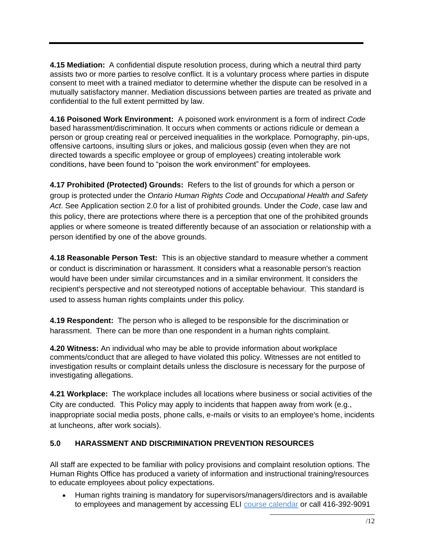**4.15 Mediation:** A confidential dispute resolution process, during which a neutral third party assists two or more parties to resolve conflict. It is a voluntary process where parties in dispute consent to meet with a trained mediator to determine whether the dispute can be resolved in a mutually satisfactory manner. Mediation discussions between parties are treated as private and confidential to the full extent permitted by law.

**4.16 Poisoned Work Environment:** A poisoned work environment is a form of indirect *Code* based harassment/discrimination. It occurs when comments or actions ridicule or demean a person or group creating real or perceived inequalities in the workplace. Pornography, pin-ups, offensive cartoons, insulting slurs or jokes, and malicious gossip (even when they are not directed towards a specific employee or group of employees) creating intolerable work conditions, have been found to "poison the work environment" for employees.

**4.17 Prohibited (Protected) Grounds:** Refers to the list of grounds for which a person or group is protected under the *Ontario Human Rights Code* and *Occupational Health and Safety Act*. See Application section 2.0 for a list of prohibited grounds. Under the *Code*, case law and this policy, there are protections where there is a perception that one of the prohibited grounds applies or where someone is treated differently because of an association or relationship with a person identified by one of the above grounds.

**4.18 Reasonable Person Test:** This is an objective standard to measure whether a comment or conduct is discrimination or harassment. It considers what a reasonable person's reaction would have been under similar circumstances and in a similar environment. It considers the recipient's perspective and not stereotyped notions of acceptable behaviour. This standard is used to assess human rights complaints under this policy.

**4.19 Respondent:** The person who is alleged to be responsible for the discrimination or harassment. There can be more than one respondent in a human rights complaint.

**4.20 Witness:** An individual who may be able to provide information about workplace comments/conduct that are alleged to have violated this policy. Witnesses are not entitled to investigation results or complaint details unless the disclosure is necessary for the purpose of investigating allegations.

**4.21 Workplace:** The workplace includes all locations where business or social activities of the City are conducted. This Policy may apply to incidents that happen away from work (e.g., inappropriate social media posts, phone calls, e-mails or visits to an employee's home, incidents at luncheons, after work socials).

#### **5.0 HARASSMENT AND DISCRIMINATION PREVENTION RESOURCES**

All staff are expected to be familiar with policy provisions and complaint resolution options. The Human Rights Office has produced a variety of information and instructional training/resources to educate employees about policy expectations.

• Human rights training is mandatory for supervisors/managers/directors and is available to employees and management by accessing ELI [course calendar](https://wi.toronto.ca/intra/hr/clldreg.nsf/CoursesLive?OpenView) or call 416-392-9091